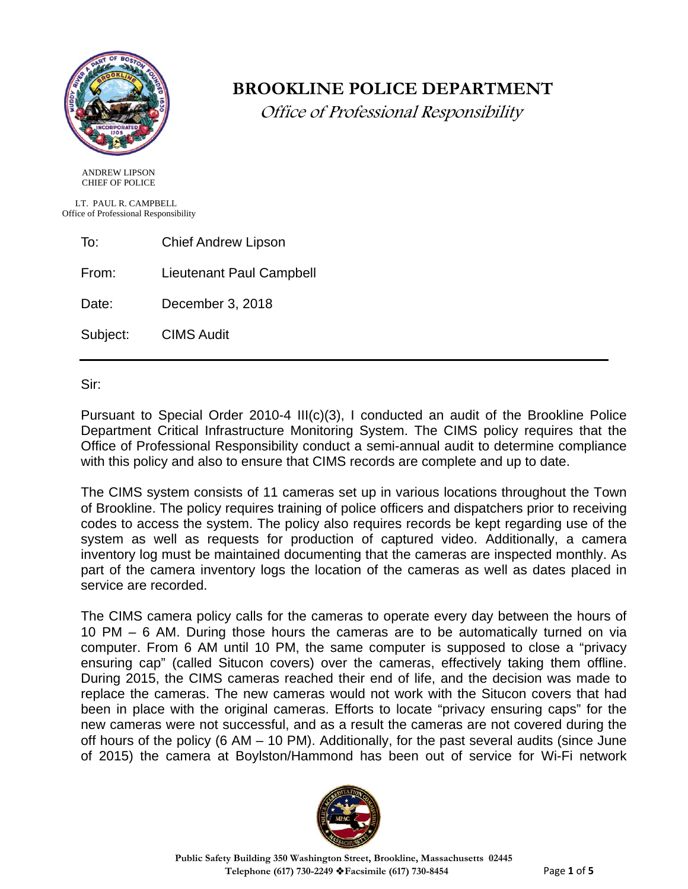

# **BROOKLINE POLICE DEPARTMENT**

Office of Professional Responsibility

 ANDREW LIPSON CHIEF OF POLICE

 LT. PAUL R. CAMPBELL Office of Professional Responsibility

To: Chief Andrew Lipson

From: Lieutenant Paul Campbell

Date: December 3, 2018

Subject: CIMS Audit

Sir:

Pursuant to Special Order 2010-4 III(c)(3), I conducted an audit of the Brookline Police Department Critical Infrastructure Monitoring System. The CIMS policy requires that the Office of Professional Responsibility conduct a semi-annual audit to determine compliance with this policy and also to ensure that CIMS records are complete and up to date.

The CIMS system consists of 11 cameras set up in various locations throughout the Town of Brookline. The policy requires training of police officers and dispatchers prior to receiving codes to access the system. The policy also requires records be kept regarding use of the system as well as requests for production of captured video. Additionally, a camera inventory log must be maintained documenting that the cameras are inspected monthly. As part of the camera inventory logs the location of the cameras as well as dates placed in service are recorded.

The CIMS camera policy calls for the cameras to operate every day between the hours of 10 PM – 6 AM. During those hours the cameras are to be automatically turned on via computer. From 6 AM until 10 PM, the same computer is supposed to close a "privacy ensuring cap" (called Situcon covers) over the cameras, effectively taking them offline. During 2015, the CIMS cameras reached their end of life, and the decision was made to replace the cameras. The new cameras would not work with the Situcon covers that had been in place with the original cameras. Efforts to locate "privacy ensuring caps" for the new cameras were not successful, and as a result the cameras are not covered during the off hours of the policy (6 AM – 10 PM). Additionally, for the past several audits (since June of 2015) the camera at Boylston/Hammond has been out of service for Wi-Fi network

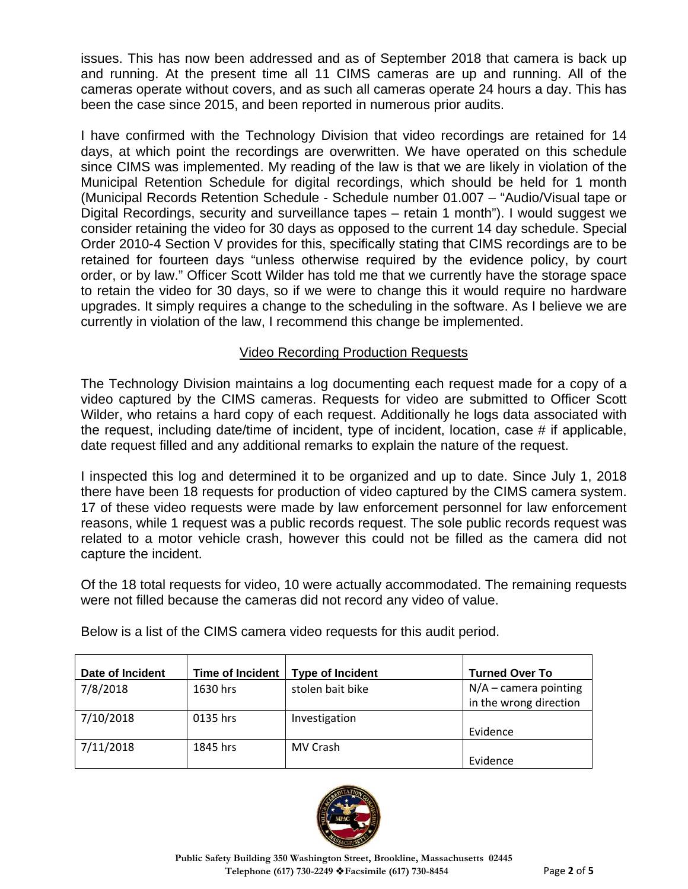issues. This has now been addressed and as of September 2018 that camera is back up and running. At the present time all 11 CIMS cameras are up and running. All of the cameras operate without covers, and as such all cameras operate 24 hours a day. This has been the case since 2015, and been reported in numerous prior audits.

I have confirmed with the Technology Division that video recordings are retained for 14 days, at which point the recordings are overwritten. We have operated on this schedule since CIMS was implemented. My reading of the law is that we are likely in violation of the Municipal Retention Schedule for digital recordings, which should be held for 1 month (Municipal Records Retention Schedule - Schedule number 01.007 – "Audio/Visual tape or Digital Recordings, security and surveillance tapes – retain 1 month"). I would suggest we consider retaining the video for 30 days as opposed to the current 14 day schedule. Special Order 2010-4 Section V provides for this, specifically stating that CIMS recordings are to be retained for fourteen days "unless otherwise required by the evidence policy, by court order, or by law." Officer Scott Wilder has told me that we currently have the storage space to retain the video for 30 days, so if we were to change this it would require no hardware upgrades. It simply requires a change to the scheduling in the software. As I believe we are currently in violation of the law, I recommend this change be implemented.

### Video Recording Production Requests

The Technology Division maintains a log documenting each request made for a copy of a video captured by the CIMS cameras. Requests for video are submitted to Officer Scott Wilder, who retains a hard copy of each request. Additionally he logs data associated with the request, including date/time of incident, type of incident, location, case # if applicable, date request filled and any additional remarks to explain the nature of the request.

I inspected this log and determined it to be organized and up to date. Since July 1, 2018 there have been 18 requests for production of video captured by the CIMS camera system. 17 of these video requests were made by law enforcement personnel for law enforcement reasons, while 1 request was a public records request. The sole public records request was related to a motor vehicle crash, however this could not be filled as the camera did not capture the incident.

Of the 18 total requests for video, 10 were actually accommodated. The remaining requests were not filled because the cameras did not record any video of value.

| Date of Incident | <b>Time of Incident</b> | <b>Type of Incident</b> | <b>Turned Over To</b>   |
|------------------|-------------------------|-------------------------|-------------------------|
| 7/8/2018         | 1630 hrs                | stolen bait bike        | $N/A$ – camera pointing |
|                  |                         |                         | in the wrong direction  |
| 7/10/2018        | 0135 hrs                | Investigation           |                         |
|                  |                         |                         | Evidence                |
| 7/11/2018        | 1845 hrs                | MV Crash                |                         |
|                  |                         |                         | Evidence                |

Below is a list of the CIMS camera video requests for this audit period.

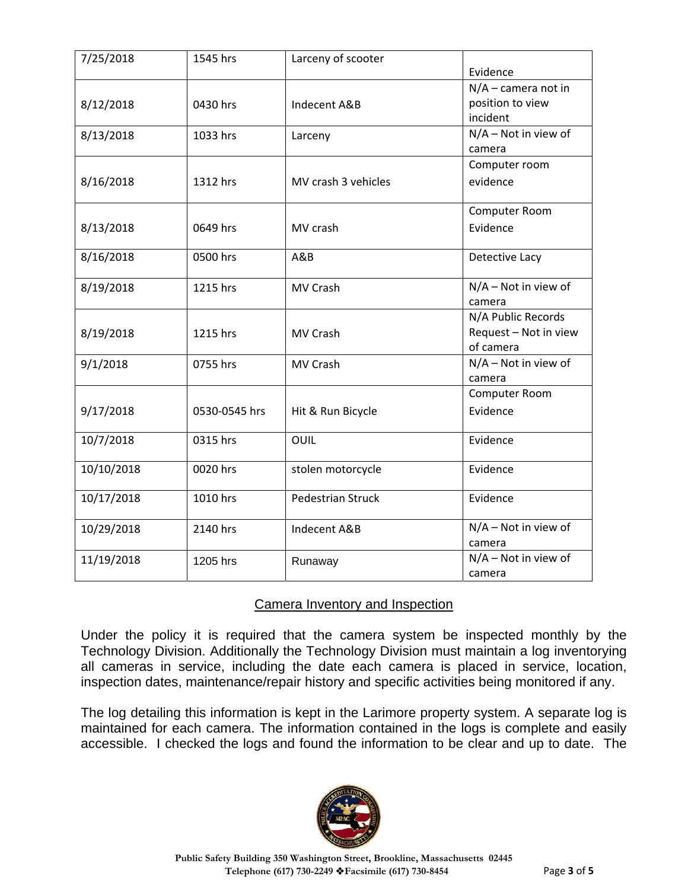| 7/25/2018  | 1545 hrs      | Larceny of scooter       |                        |
|------------|---------------|--------------------------|------------------------|
|            |               |                          | Evidence               |
|            |               |                          | $N/A$ – camera not in  |
| 8/12/2018  | 0430 hrs      | Indecent A&B             | position to view       |
|            |               |                          | incident               |
| 8/13/2018  | 1033 hrs      | Larceny                  | N/A - Not in view of   |
|            |               |                          | camera                 |
|            |               |                          | Computer room          |
| 8/16/2018  | 1312 hrs      | MV crash 3 vehicles      | evidence               |
|            |               |                          | Computer Room          |
| 8/13/2018  | 0649 hrs      | MV crash                 | Evidence               |
| 8/16/2018  | 0500 hrs      | A&B                      | Detective Lacy         |
| 8/19/2018  | 1215 hrs      | MV Crash                 | $N/A - Not$ in view of |
|            |               |                          | camera                 |
|            |               |                          | N/A Public Records     |
| 8/19/2018  | 1215 hrs      | MV Crash                 | Request - Not in view  |
|            |               |                          | of camera              |
| 9/1/2018   | 0755 hrs      | MV Crash                 | $N/A - Not$ in view of |
|            |               |                          | camera                 |
|            |               |                          | Computer Room          |
| 9/17/2018  | 0530-0545 hrs | Hit & Run Bicycle        | Evidence               |
| 10/7/2018  | 0315 hrs      | OUIL                     | Evidence               |
| 10/10/2018 | 0020 hrs      | stolen motorcycle        | Evidence               |
| 10/17/2018 | 1010 hrs      | <b>Pedestrian Struck</b> | Evidence               |
| 10/29/2018 | 2140 hrs      | Indecent A&B             | $N/A - Not$ in view of |
|            |               |                          | camera                 |
| 11/19/2018 | 1205 hrs      | Runaway                  | N/A - Not in view of   |
|            |               |                          | camera                 |

## Camera Inventory and Inspection

Under the policy it is required that the camera system be inspected monthly by the Technology Division. Additionally the Technology Division must maintain a log inventorying all cameras in service, including the date each camera is placed in service, location, inspection dates, maintenance/repair history and specific activities being monitored if any.

The log detailing this information is kept in the Larimore property system. A separate log is maintained for each camera. The information contained in the logs is complete and easily accessible. I checked the logs and found the information to be clear and up to date. The

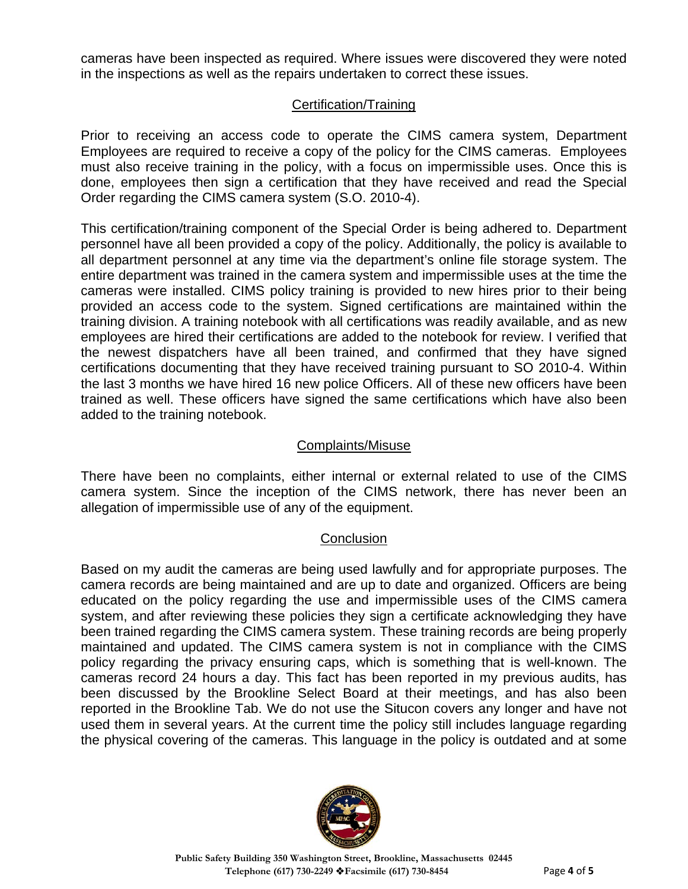cameras have been inspected as required. Where issues were discovered they were noted in the inspections as well as the repairs undertaken to correct these issues.

## Certification/Training

Prior to receiving an access code to operate the CIMS camera system, Department Employees are required to receive a copy of the policy for the CIMS cameras. Employees must also receive training in the policy, with a focus on impermissible uses. Once this is done, employees then sign a certification that they have received and read the Special Order regarding the CIMS camera system (S.O. 2010-4).

This certification/training component of the Special Order is being adhered to. Department personnel have all been provided a copy of the policy. Additionally, the policy is available to all department personnel at any time via the department's online file storage system. The entire department was trained in the camera system and impermissible uses at the time the cameras were installed. CIMS policy training is provided to new hires prior to their being provided an access code to the system. Signed certifications are maintained within the training division. A training notebook with all certifications was readily available, and as new employees are hired their certifications are added to the notebook for review. I verified that the newest dispatchers have all been trained, and confirmed that they have signed certifications documenting that they have received training pursuant to SO 2010-4. Within the last 3 months we have hired 16 new police Officers. All of these new officers have been trained as well. These officers have signed the same certifications which have also been added to the training notebook.

#### Complaints/Misuse

There have been no complaints, either internal or external related to use of the CIMS camera system. Since the inception of the CIMS network, there has never been an allegation of impermissible use of any of the equipment.

#### **Conclusion**

Based on my audit the cameras are being used lawfully and for appropriate purposes. The camera records are being maintained and are up to date and organized. Officers are being educated on the policy regarding the use and impermissible uses of the CIMS camera system, and after reviewing these policies they sign a certificate acknowledging they have been trained regarding the CIMS camera system. These training records are being properly maintained and updated. The CIMS camera system is not in compliance with the CIMS policy regarding the privacy ensuring caps, which is something that is well-known. The cameras record 24 hours a day. This fact has been reported in my previous audits, has been discussed by the Brookline Select Board at their meetings, and has also been reported in the Brookline Tab. We do not use the Situcon covers any longer and have not used them in several years. At the current time the policy still includes language regarding the physical covering of the cameras. This language in the policy is outdated and at some